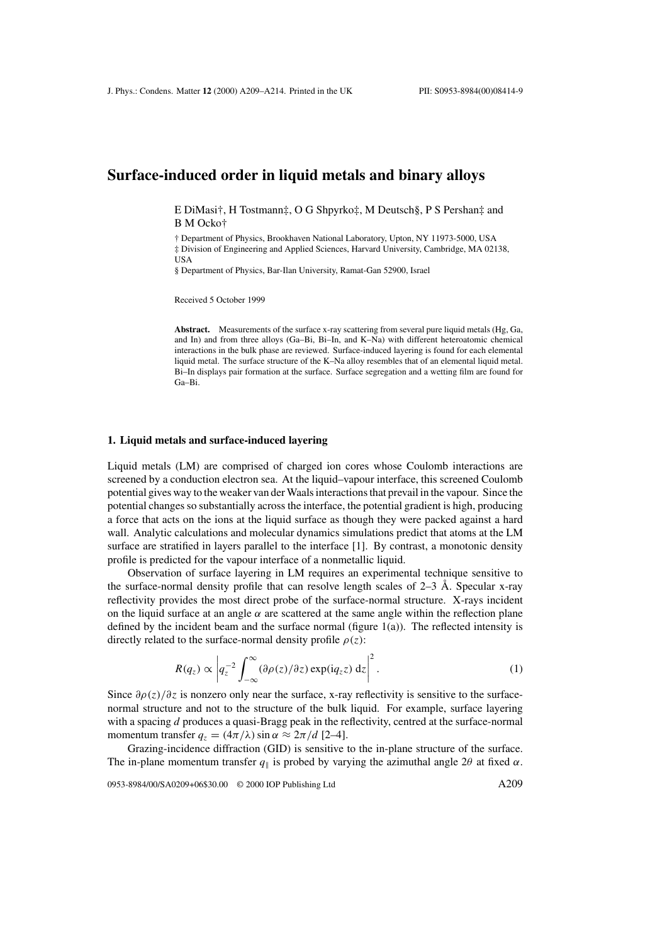# **Surface-induced order in liquid metals and binary alloys**

E DiMasi†, H Tostmann‡, O G Shpyrko‡, M Deutsch§, P S Pershan‡ and B M Ocko†

† Department of Physics, Brookhaven National Laboratory, Upton, NY 11973-5000, USA ‡ Division of Engineering and Applied Sciences, Harvard University, Cambridge, MA 02138, USA

§ Department of Physics, Bar-Ilan University, Ramat-Gan 52900, Israel

Received 5 October 1999

**Abstract.** Measurements of the surface x-ray scattering from several pure liquid metals (Hg, Ga, and In) and from three alloys (Ga–Bi, Bi–In, and K–Na) with different heteroatomic chemical interactions in the bulk phase are reviewed. Surface-induced layering is found for each elemental liquid metal. The surface structure of the K–Na alloy resembles that of an elemental liquid metal. Bi–In displays pair formation at the surface. Surface segregation and a wetting film are found for Ga–Bi.

### **1. Liquid metals and surface-induced layering**

Liquid metals (LM) are comprised of charged ion cores whose Coulomb interactions are screened by a conduction electron sea. At the liquid–vapour interface, this screened Coulomb potential gives way to the weaker van der Waals interactions that prevail in the vapour. Since the potential changes so substantially across the interface, the potential gradient is high, producing a force that acts on the ions at the liquid surface as though they were packed against a hard wall. Analytic calculations and molecular dynamics simulations predict that atoms at the LM surface are stratified in layers parallel to the interface [1]. By contrast, a monotonic density profile is predicted for the vapour interface of a nonmetallic liquid.

Observation of surface layering in LM requires an experimental technique sensitive to the surface-normal density profile that can resolve length scales of  $2-3$  Å. Specular x-ray reflectivity provides the most direct probe of the surface-normal structure. X-rays incident on the liquid surface at an angle  $\alpha$  are scattered at the same angle within the reflection plane defined by the incident beam and the surface normal (figure  $1(a)$ ). The reflected intensity is directly related to the surface-normal density profile  $\rho(z)$ :

$$
R(q_z) \propto \left| q_z^{-2} \int_{-\infty}^{\infty} (\partial \rho(z)/\partial z) \exp(i q_z z) dz \right|^2.
$$
 (1)

Since  $\partial \rho(z)/\partial z$  is nonzero only near the surface, x-ray reflectivity is sensitive to the surfacenormal structure and not to the structure of the bulk liquid. For example, surface layering with a spacing d produces a quasi-Bragg peak in the reflectivity, centred at the surface-normal momentum transfer  $q_z = (4\pi/\lambda) \sin \alpha \approx 2\pi/d$  [2–4].

Grazing-incidence diffraction (GID) is sensitive to the in-plane structure of the surface. The in-plane momentum transfer  $q_{\parallel}$  is probed by varying the azimuthal angle 2 $\theta$  at fixed  $\alpha$ .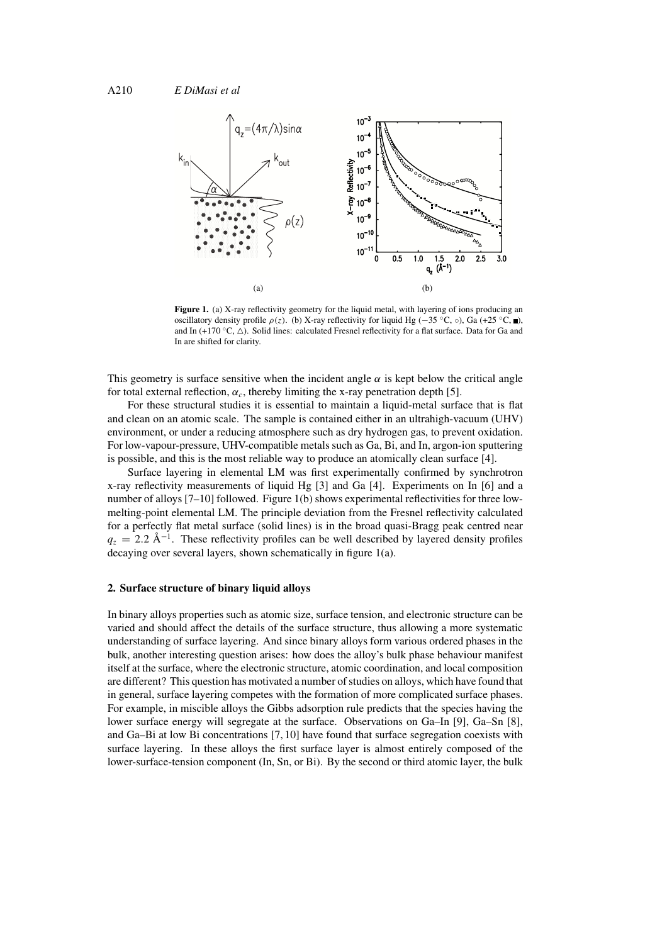

**Figure 1.** (a) X-ray reflectivity geometry for the liquid metal, with layering of ions producing an oscillatory density profile  $\rho(z)$ . (b) X-ray reflectivity for liquid Hg (−35 °C, ◦), Ga (+25 °C, ■), and In (+170  $\degree$ C,  $\triangle$ ). Solid lines: calculated Fresnel reflectivity for a flat surface. Data for Ga and In are shifted for clarity.

This geometry is surface sensitive when the incident angle  $\alpha$  is kept below the critical angle for total external reflection,  $\alpha_c$ , thereby limiting the x-ray penetration depth [5].

For these structural studies it is essential to maintain a liquid-metal surface that is flat and clean on an atomic scale. The sample is contained either in an ultrahigh-vacuum (UHV) environment, or under a reducing atmosphere such as dry hydrogen gas, to prevent oxidation. For low-vapour-pressure, UHV-compatible metals such as Ga, Bi, and In, argon-ion sputtering is possible, and this is the most reliable way to produce an atomically clean surface [4].

Surface layering in elemental LM was first experimentally confirmed by synchrotron x-ray reflectivity measurements of liquid Hg [3] and Ga [4]. Experiments on In [6] and a number of alloys [7–10] followed. Figure 1(b) shows experimental reflectivities for three lowmelting-point elemental LM. The principle deviation from the Fresnel reflectivity calculated for a perfectly flat metal surface (solid lines) is in the broad quasi-Bragg peak centred near  $q_z = 2.2 \text{ Å}^{-1}$ . These reflectivity profiles can be well described by layered density profiles decaying over several layers, shown schematically in figure 1(a).

#### **2. Surface structure of binary liquid alloys**

In binary alloys properties such as atomic size, surface tension, and electronic structure can be varied and should affect the details of the surface structure, thus allowing a more systematic understanding of surface layering. And since binary alloys form various ordered phases in the bulk, another interesting question arises: how does the alloy's bulk phase behaviour manifest itself at the surface, where the electronic structure, atomic coordination, and local composition are different? This question has motivated a number of studies on alloys, which have found that in general, surface layering competes with the formation of more complicated surface phases. For example, in miscible alloys the Gibbs adsorption rule predicts that the species having the lower surface energy will segregate at the surface. Observations on Ga–In [9], Ga–Sn [8], and Ga–Bi at low Bi concentrations [7, 10] have found that surface segregation coexists with surface layering. In these alloys the first surface layer is almost entirely composed of the lower-surface-tension component (In, Sn, or Bi). By the second or third atomic layer, the bulk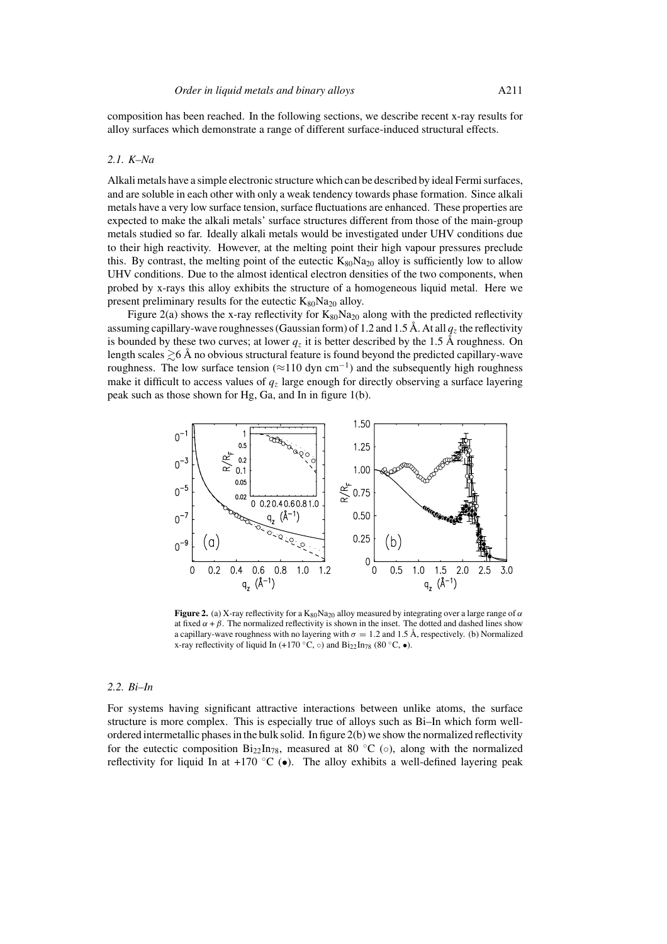composition has been reached. In the following sections, we describe recent x-ray results for alloy surfaces which demonstrate a range of different surface-induced structural effects.

#### *2.1. K–Na*

Alkali metals have a simple electronic structure which can be described by ideal Fermi surfaces, and are soluble in each other with only a weak tendency towards phase formation. Since alkali metals have a very low surface tension, surface fluctuations are enhanced. These properties are expected to make the alkali metals' surface structures different from those of the main-group metals studied so far. Ideally alkali metals would be investigated under UHV conditions due to their high reactivity. However, at the melting point their high vapour pressures preclude this. By contrast, the melting point of the eutectic  $K_{80}Na_{20}$  alloy is sufficiently low to allow UHV conditions. Due to the almost identical electron densities of the two components, when probed by x-rays this alloy exhibits the structure of a homogeneous liquid metal. Here we present preliminary results for the eutectic  $K_{80}Na_{20}$  alloy.

Figure 2(a) shows the x-ray reflectivity for  $K_{80}Na_{20}$  along with the predicted reflectivity assuming capillary-wave roughnesses (Gaussian form) of 1.2 and 1.5 Å. At all  $q<sub>z</sub>$  the reflectivity is bounded by these two curves; at lower  $q_z$  it is better described by the 1.5 Å roughness. On length scales  $\geq 6$  Å no obvious structural feature is found beyond the predicted capillary-wave roughness. The low surface tension ( $\approx$ 110 dyn cm<sup>-1</sup>) and the subsequently high roughness make it difficult to access values of  $q<sub>z</sub>$  large enough for directly observing a surface layering peak such as those shown for Hg, Ga, and In in figure 1(b).



**Figure 2.** (a) X-ray reflectivity for a  $K_{80}Na_{20}$  alloy measured by integrating over a large range of  $\alpha$ at fixed  $\alpha + \beta$ . The normalized reflectivity is shown in the inset. The dotted and dashed lines show a capillary-wave roughness with no layering with  $\sigma = 1.2$  and 1.5 Å, respectively. (b) Normalized x-ray reflectivity of liquid In (+170 °C,  $\circ$ ) and Bi<sub>22</sub>In<sub>78</sub> (80 °C,  $\bullet$ ).

### *2.2. Bi–In*

For systems having significant attractive interactions between unlike atoms, the surface structure is more complex. This is especially true of alloys such as Bi–In which form wellordered intermetallic phases in the bulk solid. In figure 2(b) we show the normalized reflectivity for the eutectic composition  $\text{Bi}_{22}\text{In}_{78}$ , measured at 80 °C (⊙), along with the normalized reflectivity for liquid In at +170 °C ( $\bullet$ ). The alloy exhibits a well-defined layering peak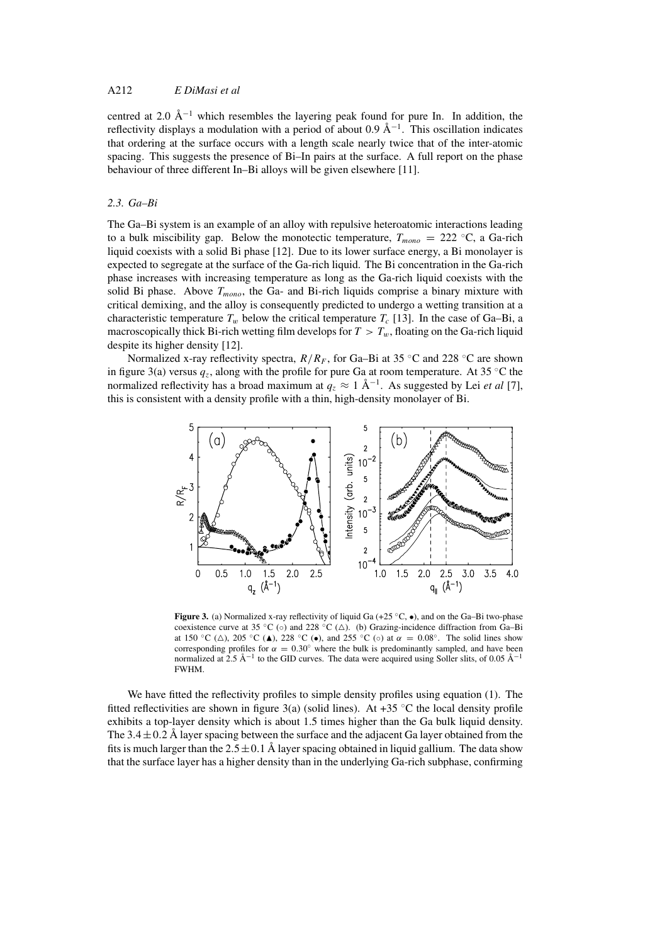## A212 *E DiMasi et al*

centred at 2.0 Å<sup> $-1$ </sup> which resembles the layering peak found for pure In. In addition, the reflectivity displays a modulation with a period of about 0.9  $\AA^{-1}$ . This oscillation indicates that ordering at the surface occurs with a length scale nearly twice that of the inter-atomic spacing. This suggests the presence of Bi–In pairs at the surface. A full report on the phase behaviour of three different In–Bi alloys will be given elsewhere [11].

### *2.3. Ga–Bi*

The Ga–Bi system is an example of an alloy with repulsive heteroatomic interactions leading to a bulk miscibility gap. Below the monotectic temperature,  $T_{mono} = 222 \text{ °C}$ , a Ga-rich liquid coexists with a solid Bi phase [12]. Due to its lower surface energy, a Bi monolayer is expected to segregate at the surface of the Ga-rich liquid. The Bi concentration in the Ga-rich phase increases with increasing temperature as long as the Ga-rich liquid coexists with the solid Bi phase. Above  $T_{mono}$ , the Ga- and Bi-rich liquids comprise a binary mixture with critical demixing, and the alloy is consequently predicted to undergo a wetting transition at a characteristic temperature  $T_w$  below the critical temperature  $T_c$  [13]. In the case of Ga–Bi, a macroscopically thick Bi-rich wetting film develops for  $T > T_w$ , floating on the Ga-rich liquid despite its higher density [12].

Normalized x-ray reflectivity spectra,  $R/R_F$ , for Ga–Bi at 35 °C and 228 °C are shown in figure 3(a) versus  $q_z$ , along with the profile for pure Ga at room temperature. At 35 °C the normalized reflectivity has a broad maximum at  $q_z \approx 1 \text{ Å}^{-1}$ . As suggested by Lei *et al* [7], this is consistent with a density profile with a thin, high-density monolayer of Bi.



**Figure 3.** (a) Normalized x-ray reflectivity of liquid Ga (+25 °C, ●), and on the Ga–Bi two-phase coexistence curve at 35 °C (⊙) and 228 °C ( $\triangle$ ). (b) Grazing-incidence diffraction from Ga–Bi at 150 °C ( $\triangle$ ), 205 °C ( $\triangle$ ), 228 °C ( $\bullet$ ), and 255 °C ( $\circ$ ) at  $\alpha = 0.08$ °. The solid lines show corresponding profiles for  $\alpha = 0.30^{\circ}$  where the bulk is predominantly sampled, and have been normalized at 2.5 Å<sup>-1</sup> to the GID curves. The data were acquired using Soller slits, of 0.05 Å<sup>-1</sup> FWHM.

We have fitted the reflectivity profiles to simple density profiles using equation (1). The fitted reflectivities are shown in figure 3(a) (solid lines). At +35  $\degree$ C the local density profile exhibits a top-layer density which is about 1.5 times higher than the Ga bulk liquid density. The  $3.4 \pm 0.2$  Å layer spacing between the surface and the adjacent Ga layer obtained from the fits is much larger than the  $2.5 \pm 0.1$  Å layer spacing obtained in liquid gallium. The data show that the surface layer has a higher density than in the underlying Ga-rich subphase, confirming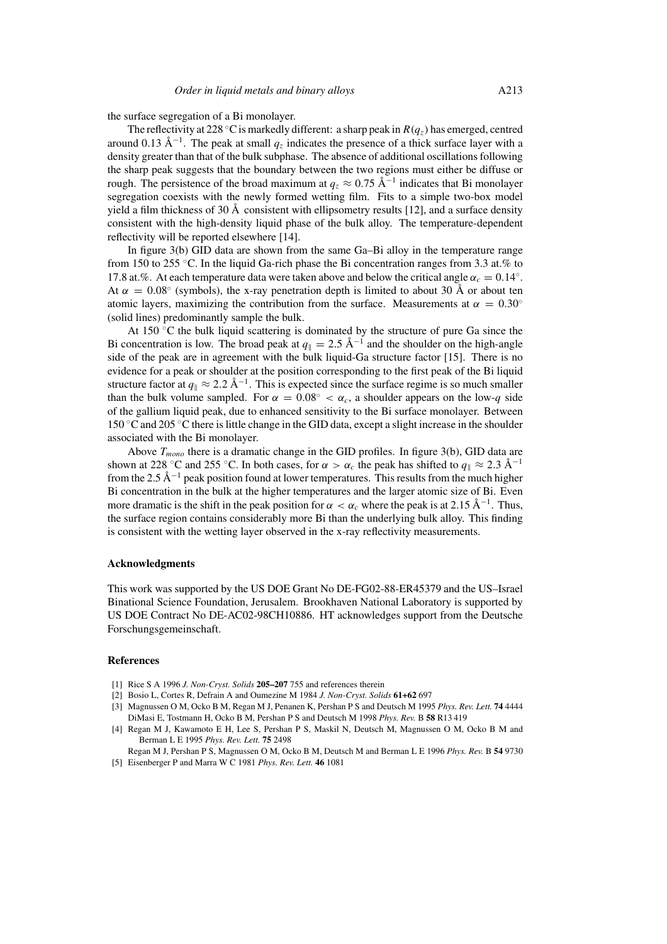the surface segregation of a Bi monolayer.

The reflectivity at 228 °C is markedly different: a sharp peak in  $R(a_z)$  has emerged, centred around 0.13 Å<sup>-1</sup>. The peak at small  $q_z$  indicates the presence of a thick surface layer with a density greater than that of the bulk subphase. The absence of additional oscillations following the sharp peak suggests that the boundary between the two regions must either be diffuse or rough. The persistence of the broad maximum at  $q_z \approx 0.75 \text{ Å}^{-1}$  indicates that Bi monolayer segregation coexists with the newly formed wetting film. Fits to a simple two-box model yield a film thickness of 30 Å consistent with ellipsometry results [12], and a surface density consistent with the high-density liquid phase of the bulk alloy. The temperature-dependent reflectivity will be reported elsewhere [14].

In figure 3(b) GID data are shown from the same Ga–Bi alloy in the temperature range from 150 to 255 ◦C. In the liquid Ga-rich phase the Bi concentration ranges from 3.3 at.% to 17.8 at.%. At each temperature data were taken above and below the critical angle  $\alpha_c = 0.14^\circ$ . At  $\alpha = 0.08\textdegree$  (symbols), the x-ray penetration depth is limited to about 30 Å or about ten atomic layers, maximizing the contribution from the surface. Measurements at  $\alpha = 0.30^{\circ}$ (solid lines) predominantly sample the bulk.

At 150 ◦C the bulk liquid scattering is dominated by the structure of pure Ga since the Bi concentration is low. The broad peak at  $q_{\parallel} = 2.5 \text{ Å}^{-1}$  and the shoulder on the high-angle side of the peak are in agreement with the bulk liquid-Ga structure factor [15]. There is no evidence for a peak or shoulder at the position corresponding to the first peak of the Bi liquid structure factor at  $q_{\parallel} \approx 2.2 \text{ Å}^{-1}$ . This is expected since the surface regime is so much smaller than the bulk volume sampled. For  $\alpha = 0.08^{\circ} < \alpha_c$ , a shoulder appears on the low-q side of the gallium liquid peak, due to enhanced sensitivity to the Bi surface monolayer. Between 150 ◦C and 205 ◦C there is little change in the GID data, except a slight increase in the shoulder associated with the Bi monolayer.

Above  $T_{mono}$  there is a dramatic change in the GID profiles. In figure 3(b), GID data are shown at 228 °C and 255 °C. In both cases, for  $\alpha > \alpha_c$  the peak has shifted to  $q_{\parallel} \approx 2.3 \text{ Å}^{-1}$ from the 2.5 Å<sup> $-1$ </sup> peak position found at lower temperatures. This results from the much higher Bi concentration in the bulk at the higher temperatures and the larger atomic size of Bi. Even more dramatic is the shift in the peak position for  $\alpha < \alpha_c$  where the peak is at 2.15 Å<sup>-1</sup>. Thus, the surface region contains considerably more Bi than the underlying bulk alloy. This finding is consistent with the wetting layer observed in the x-ray reflectivity measurements.

### **Acknowledgments**

This work was supported by the US DOE Grant No DE-FG02-88-ER45379 and the US–Israel Binational Science Foundation, Jerusalem. Brookhaven National Laboratory is supported by US DOE Contract No DE-AC02-98CH10886. HT acknowledges support from the Deutsche Forschungsgemeinschaft.

### **References**

- [1] Rice S A 1996 *J. Non-Cryst. Solids* **205–207** 755 and references therein
- [2] Bosio L, Cortes R, Defrain A and Oumezine M 1984 *J. Non-Cryst. Solids* **61+62** 697
- [3] Magnussen O M, Ocko B M, Regan M J, Penanen K, Pershan P S and Deutsch M 1995 *Phys. Rev. Lett.* **74** 4444 DiMasi E, Tostmann H, Ocko B M, Pershan P S and Deutsch M 1998 *Phys. Rev.* B **58** R13 419
- [4] Regan M J, Kawamoto E H, Lee S, Pershan P S, Maskil N, Deutsch M, Magnussen O M, Ocko B M and Berman L E 1995 *Phys. Rev. Lett.* **75** 2498
- Regan M J, Pershan P S, Magnussen O M, Ocko B M, Deutsch M and Berman L E 1996 *Phys. Rev.* B **54** 9730 [5] Eisenberger P and Marra W C 1981 *Phys. Rev. Lett.* **46** 1081